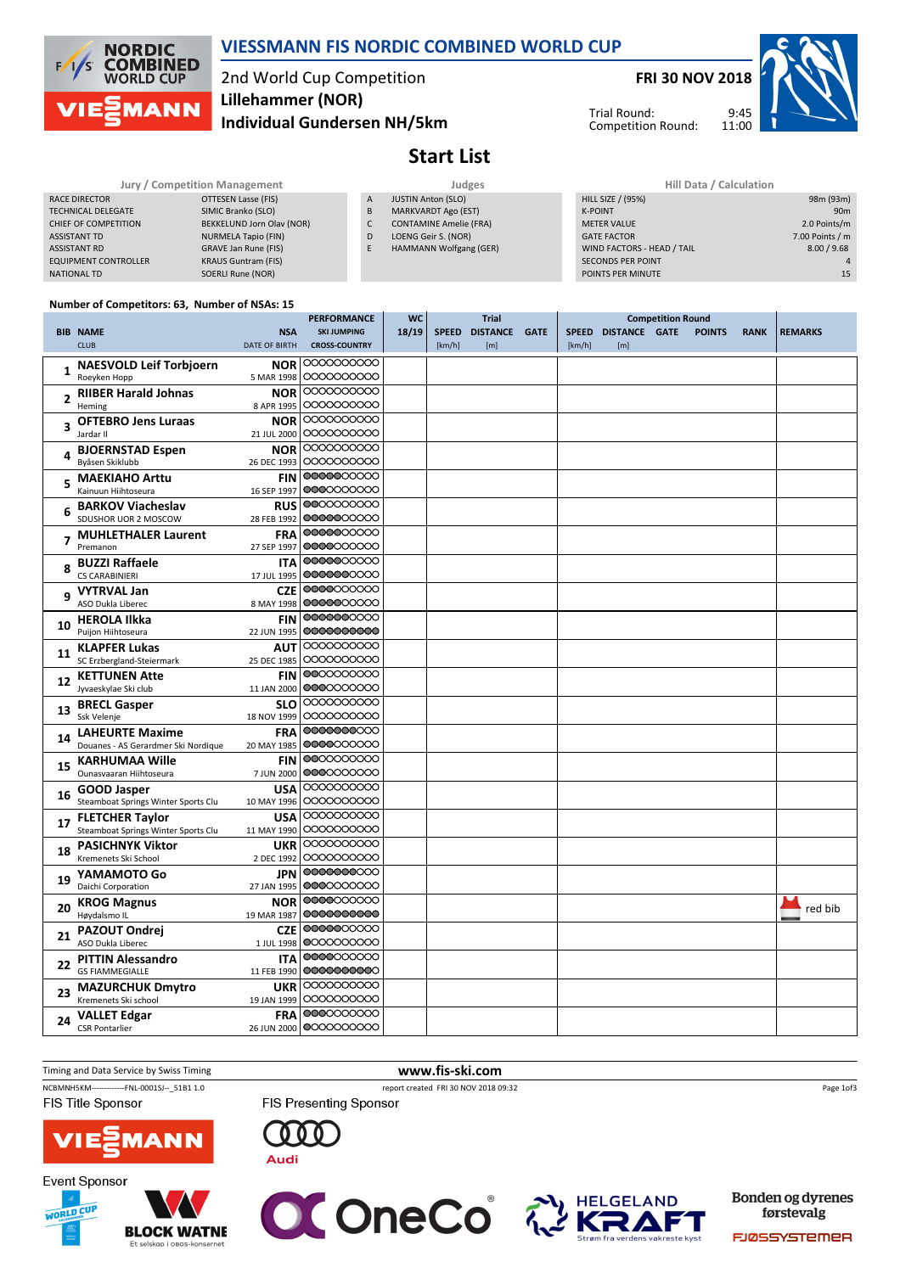

## VIESSMANN FIS NORDIC COMBINED WORLD CUP

## 2nd World Cup Competition Individual Gundersen NH/5km Lillehammer (NOR)

FRI 30 NOV 2018



Trial Round: Competition Round:

## Start List

|                             | <b>Jury / Competition Management</b> |   | <b>Judges</b>                 | <b>Hill Data / Calculation</b> |  |  |  |  |
|-----------------------------|--------------------------------------|---|-------------------------------|--------------------------------|--|--|--|--|
| RACE DIRECTOR               | OTTESEN Lasse (FIS)                  | A | <b>JUSTIN Anton (SLO)</b>     | HILL SIZE / (95%)              |  |  |  |  |
| <b>TECHNICAL DELEGATE</b>   | SIMIC Branko (SLO)                   | B | MARKVARDT Ago (EST)           | <b>K-POINT</b>                 |  |  |  |  |
| CHIEF OF COMPETITION        | BEKKELUND Jorn Olav (NOR)            | ◡ | <b>CONTAMINE Amelie (FRA)</b> | <b>METER VALUE</b>             |  |  |  |  |
| <b>ASSISTANT TD</b>         | NURMELA Tapio (FIN)                  | D | LOENG Geir S. (NOR)           | <b>GATE FACTOR</b>             |  |  |  |  |
| <b>ASSISTANT RD</b>         | GRAVE Jan Rune (FIS)                 | E | HAMMANN Wolfgang (GER)        | WIND FACTORS - HEAD / TAIL     |  |  |  |  |
| <b>EQUIPMENT CONTROLLER</b> | <b>KRAUS Guntram (FIS)</b>           |   |                               | <b>SECONDS PER POINT</b>       |  |  |  |  |
| <b>NATIONAL TD</b>          | SOERLI Rune (NOR)                    |   |                               | POINTS PER MINUTE              |  |  |  |  |

| Hill Data / Calculation    |                 |
|----------------------------|-----------------|
| <b>HILL SIZE / (95%)</b>   | 98m (93m)       |
| <b>K-POINT</b>             | 90 <sub>m</sub> |
| <b>METER VALUE</b>         | 2.0 Points/m    |
| <b>GATE FACTOR</b>         | 7.00 Points / m |
| WIND FACTORS - HEAD / TAIL | 8.00 / 9.68     |
| <b>SECONDS PER POINT</b>   | $\Delta$        |
| POINTS PER MINUTE          | 15              |
|                            |                 |

### Number of Competitors: 63, Number of NSAs: 15

|                                                                                                                                                   |                                     |                      | <b>PERFORMANCE</b>     | <b>WC</b><br><b>Trial</b> |              |                      |  |        |                     |               |             |                |
|---------------------------------------------------------------------------------------------------------------------------------------------------|-------------------------------------|----------------------|------------------------|---------------------------|--------------|----------------------|--|--------|---------------------|---------------|-------------|----------------|
|                                                                                                                                                   | <b>BIB NAME</b>                     | <b>NSA</b>           | <b>SKI JUMPING</b>     | 18/19                     | <b>SPEED</b> | <b>DISTANCE GATE</b> |  |        | SPEED DISTANCE GATE | <b>POINTS</b> | <b>RANK</b> | <b>REMARKS</b> |
|                                                                                                                                                   | <b>CLUB</b>                         | <b>DATE OF BIRTH</b> | <b>CROSS-COUNTRY</b>   |                           | [km/h]       | [m]                  |  | [km/h] | [m]                 |               |             |                |
|                                                                                                                                                   | <b>NAESVOLD Leif Torbjoern</b>      | <b>NOR</b>           | 0000000000             |                           |              |                      |  |        |                     |               |             |                |
|                                                                                                                                                   | Roeyken Hopp                        | 5 MAR 1998           | 0000000000             |                           |              |                      |  |        |                     |               |             |                |
|                                                                                                                                                   | <b>RIIBER Harald Johnas</b>         | <b>NOR</b>           | 0000000000             |                           |              |                      |  |        |                     |               |             |                |
|                                                                                                                                                   | Heming                              | 8 APR 1995           | 0000000000             |                           |              |                      |  |        |                     |               |             |                |
|                                                                                                                                                   | <b>OFTEBRO Jens Luraas</b>          | <b>NOR</b>           | 0000000000             |                           |              |                      |  |        |                     |               |             |                |
|                                                                                                                                                   | Jardar II                           | 21 JUL 2000          | 0000000000             |                           |              |                      |  |        |                     |               |             |                |
|                                                                                                                                                   | <b>BJOERNSTAD Espen</b>             | <b>NOR</b>           | 0000000000             |                           |              |                      |  |        |                     |               |             |                |
|                                                                                                                                                   | Byåsen Skiklubb                     | 26 DEC 1993          | 0000000000             |                           |              |                      |  |        |                     |               |             |                |
|                                                                                                                                                   | <b>MAEKIAHO Arttu</b>               | <b>FIN</b>           | 0000000000             |                           |              |                      |  |        |                     |               |             |                |
|                                                                                                                                                   | Kainuun Hiihtoseura                 | 16 SEP 1997          | 0000000000             |                           |              |                      |  |        |                     |               |             |                |
|                                                                                                                                                   | <b>BARKOV Viacheslav</b>            | <b>RUS</b>           | 0000000000             |                           |              |                      |  |        |                     |               |             |                |
|                                                                                                                                                   | SDUSHOR UOR 2 MOSCOW                | 28 FEB 1992          | 0000000000             |                           |              |                      |  |        |                     |               |             |                |
|                                                                                                                                                   | <b>MUHLETHALER Laurent</b>          | <b>FRA</b>           | 0000000000             |                           |              |                      |  |        |                     |               |             |                |
|                                                                                                                                                   | Premanon                            | 27 SEP 1997          | 0000000000             |                           |              |                      |  |        |                     |               |             |                |
|                                                                                                                                                   | <b>BUZZI Raffaele</b>               | <b>ITA</b>           | 0000000000             |                           |              |                      |  |        |                     |               |             |                |
|                                                                                                                                                   | <b>CS CARABINIERI</b>               | 17 JUL 1995          | 0000000000             |                           |              |                      |  |        |                     |               |             |                |
|                                                                                                                                                   | <b>VYTRVAL Jan</b>                  | <b>CZE</b>           | 0000000000             |                           |              |                      |  |        |                     |               |             |                |
| $\mathbf{1}$<br>$\overline{2}$<br>3<br>4<br>5<br>6<br>q<br>10<br>11<br>12<br>13<br>14<br>15<br>16<br>17<br>18<br>19<br>20<br>21<br>22<br>23<br>24 | ASO Dukla Liberec                   | 8 MAY 1998           | 0000000000             |                           |              |                      |  |        |                     |               |             |                |
|                                                                                                                                                   | <b>HEROLA Ilkka</b>                 | <b>FIN</b>           | 0000000000             |                           |              |                      |  |        |                     |               |             |                |
|                                                                                                                                                   | Puijon Hiihtoseura                  | 22 JUN 1995          | 0000000000             |                           |              |                      |  |        |                     |               |             |                |
|                                                                                                                                                   | <b>KLAPFER Lukas</b>                | AUT                  | 0000000000             |                           |              |                      |  |        |                     |               |             |                |
|                                                                                                                                                   | SC Erzbergland-Steiermark           | 25 DEC 1985          | 0000000000             |                           |              |                      |  |        |                     |               |             |                |
|                                                                                                                                                   | <b>KETTUNEN Atte</b>                | <b>FIN</b>           | 0000000000             |                           |              |                      |  |        |                     |               |             |                |
|                                                                                                                                                   | Jyvaeskylae Ski club                | 11 JAN 2000          | 0000000000             |                           |              |                      |  |        |                     |               |             |                |
|                                                                                                                                                   | <b>BRECL Gasper</b>                 | <b>SLO</b>           | 0000000000             |                           |              |                      |  |        |                     |               |             |                |
|                                                                                                                                                   | Ssk Velenje                         | 18 NOV 1999          | 0000000000             |                           |              |                      |  |        |                     |               |             |                |
|                                                                                                                                                   | <b>LAHEURTE Maxime</b>              | <b>FRA</b>           | 0000000000             |                           |              |                      |  |        |                     |               |             |                |
|                                                                                                                                                   | Douanes - AS Gerardmer Ski Nordique | 20 MAY 1985          | 0000000000             |                           |              |                      |  |        |                     |               |             |                |
|                                                                                                                                                   | <b>KARHUMAA Wille</b>               | <b>FIN</b>           | 0000000000             |                           |              |                      |  |        |                     |               |             |                |
|                                                                                                                                                   | Ounasyaaran Hiihtoseura             | 7 JUN 2000           | 0000000000             |                           |              |                      |  |        |                     |               |             |                |
|                                                                                                                                                   | <b>GOOD Jasper</b>                  | <b>USA</b>           | 0000000000             |                           |              |                      |  |        |                     |               |             |                |
|                                                                                                                                                   | Steamboat Springs Winter Sports Clu | 10 MAY 1996          | 0000000000             |                           |              |                      |  |        |                     |               |             |                |
|                                                                                                                                                   | <b>FLETCHER Taylor</b>              | <b>USA</b>           | 0000000000             |                           |              |                      |  |        |                     |               |             |                |
|                                                                                                                                                   | Steamboat Springs Winter Sports Clu | 11 MAY 1990          | 0000000000             |                           |              |                      |  |        |                     |               |             |                |
|                                                                                                                                                   | <b>PASICHNYK Viktor</b>             | <b>UKR</b>           | 0000000000             |                           |              |                      |  |        |                     |               |             |                |
|                                                                                                                                                   | Kremenets Ski School                | 2 DEC 1992           | 0000000000             |                           |              |                      |  |        |                     |               |             |                |
|                                                                                                                                                   | YAMAMOTO Go                         | <b>JPN</b>           | 0000000000             |                           |              |                      |  |        |                     |               |             |                |
|                                                                                                                                                   | Daichi Corporation                  | 27 JAN 1995          | 0000000000             |                           |              |                      |  |        |                     |               |             |                |
|                                                                                                                                                   | <b>KROG Magnus</b>                  | <b>NOR</b>           | 0000000000             |                           |              |                      |  |        |                     |               |             |                |
|                                                                                                                                                   | Høydalsmo IL                        | 19 MAR 1987          | 0000000000             |                           |              |                      |  |        |                     |               |             | red bib        |
|                                                                                                                                                   | PAZOUT Ondrei                       | <b>CZE</b>           | 0000000000             |                           |              |                      |  |        |                     |               |             |                |
|                                                                                                                                                   | ASO Dukla Liberec                   | 1 JUL 1998           | 0000000000             |                           |              |                      |  |        |                     |               |             |                |
|                                                                                                                                                   | <b>PITTIN Alessandro</b>            | <b>ITA</b>           | 0000000000             |                           |              |                      |  |        |                     |               |             |                |
|                                                                                                                                                   | <b>GS FIAMMEGIALLE</b>              | 11 FEB 1990          | 0000000000             |                           |              |                      |  |        |                     |               |             |                |
|                                                                                                                                                   | <b>MAZURCHUK Dmytro</b>             | <b>UKR</b>           | 0000000000             |                           |              |                      |  |        |                     |               |             |                |
|                                                                                                                                                   | Kremenets Ski school                | 19 JAN 1999          | 0000000000             |                           |              |                      |  |        |                     |               |             |                |
|                                                                                                                                                   | <b>VALLET Edgar</b>                 | <b>FRA</b>           | 0000000000             |                           |              |                      |  |        |                     |               |             |                |
|                                                                                                                                                   | <b>CSR Pontarlier</b>               |                      | 26 JUN 2000 0000000000 |                           |              |                      |  |        |                     |               |             |                |



Timing and Data Service by Swiss Timing WWW.fis-ski.com

FIS Presenting Sponsor

 $000$ 

**Audi** 

Page 1of3









Bonden og dyrenes førstevalg

FJØSSYSTEMER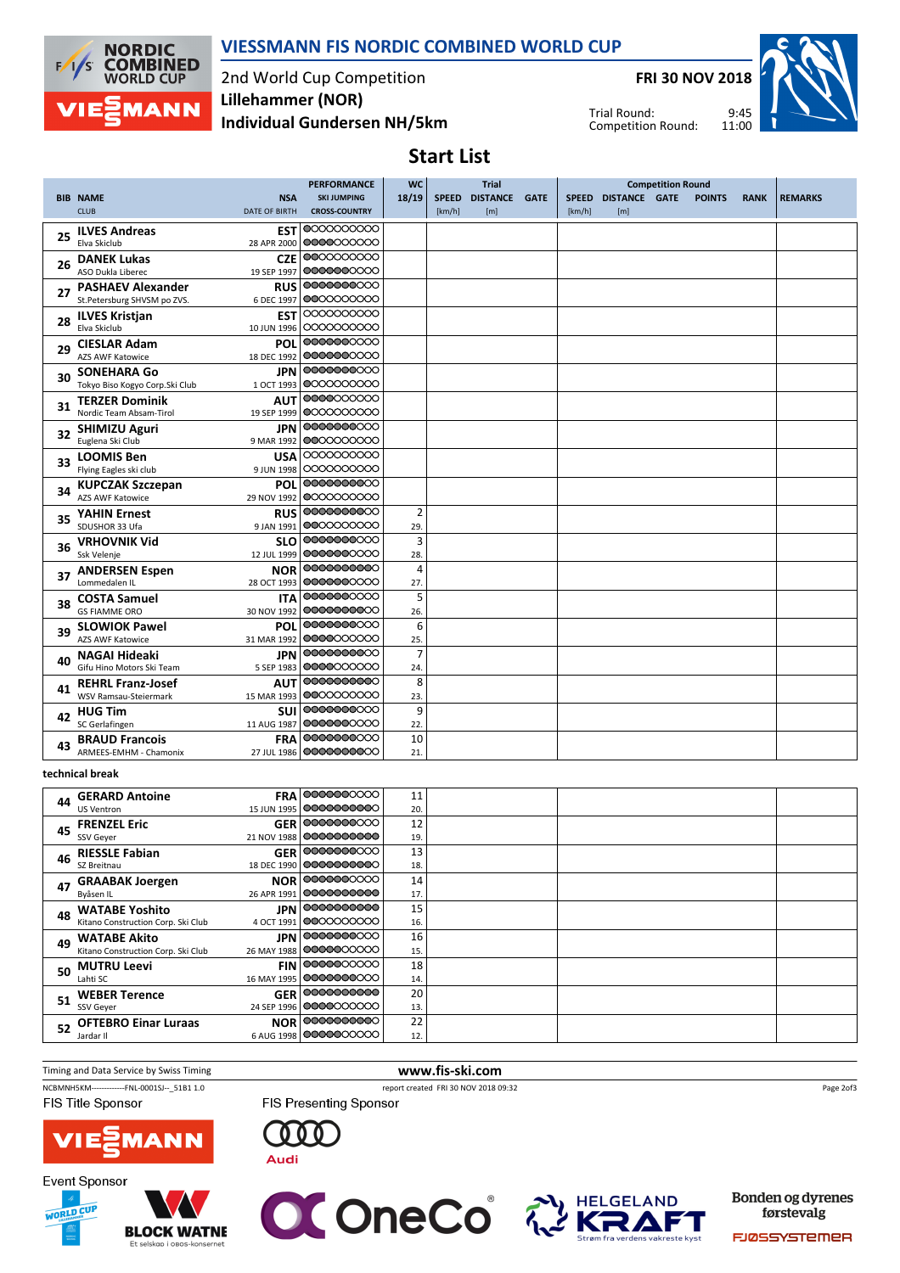

VIESSMANN FIS NORDIC COMBINED WORLD CUP

2nd World Cup Competition Individual Gundersen NH/5km Lillehammer (NOR)

FRI 30 NOV 2018

Trial Round: Competition Round:



Start List

|    |                                                 |                      | <b>PERFORMANCE</b>       | <b>WC</b>      |        | <b>Trial</b>   |             |        |                     |               |             |                |
|----|-------------------------------------------------|----------------------|--------------------------|----------------|--------|----------------|-------------|--------|---------------------|---------------|-------------|----------------|
|    | <b>BIB NAME</b>                                 | <b>NSA</b>           | <b>SKI JUMPING</b>       | 18/19          |        | SPEED DISTANCE | <b>GATE</b> |        | SPEED DISTANCE GATE | <b>POINTS</b> | <b>RANK</b> | <b>REMARKS</b> |
|    | <b>CLUB</b>                                     | <b>DATE OF BIRTH</b> | <b>CROSS-COUNTRY</b>     |                | [km/h] | [m]            |             | [km/h] | [m]                 |               |             |                |
|    | <b>ILVES Andreas</b>                            | <b>EST</b>           | 0000000000               |                |        |                |             |        |                     |               |             |                |
| 25 | Elva Skiclub                                    | 28 APR 2000          | 0000000000               |                |        |                |             |        |                     |               |             |                |
|    | <b>DANEK Lukas</b>                              | <b>CZE</b>           | 0000000000               |                |        |                |             |        |                     |               |             |                |
| 26 | ASO Dukla Liberec                               | 19 SEP 1997          | 0000000000               |                |        |                |             |        |                     |               |             |                |
|    | <b>PASHAEV Alexander</b>                        | <b>RUS</b>           | 0000000000               |                |        |                |             |        |                     |               |             |                |
| 27 | St.Petersburg SHVSM po ZVS.                     | 6 DEC 1997           | 0000000000               |                |        |                |             |        |                     |               |             |                |
|    | <b>ILVES Kristjan</b>                           | EST                  | 0000000000               |                |        |                |             |        |                     |               |             |                |
| 28 | Elva Skiclub                                    | 10 JUN 1996          | 0000000000               |                |        |                |             |        |                     |               |             |                |
| 29 | <b>CIESLAR Adam</b>                             | POL                  | 0000000000               |                |        |                |             |        |                     |               |             |                |
|    | <b>AZS AWF Katowice</b>                         | 18 DEC 1992          | 0000000000               |                |        |                |             |        |                     |               |             |                |
| 30 | <b>SONEHARA Go</b>                              | JPN                  | 0000000000               |                |        |                |             |        |                     |               |             |                |
|    | Tokyo Biso Kogyo Corp.Ski Club                  | 1 OCT 1993           | 0000000000               |                |        |                |             |        |                     |               |             |                |
| 31 | <b>TERZER Dominik</b>                           | AUT                  | 0000000000               |                |        |                |             |        |                     |               |             |                |
|    | Nordic Team Absam-Tirol                         | 19 SEP 1999          | 0000000000               |                |        |                |             |        |                     |               |             |                |
| 32 | <b>SHIMIZU Aguri</b>                            | JPN                  | 0000000000               |                |        |                |             |        |                     |               |             |                |
|    | Euglena Ski Club                                | 9 MAR 1992           | 0000000000               |                |        |                |             |        |                     |               |             |                |
| 33 | <b>LOOMIS Ben</b>                               | USA                  | 0000000000               |                |        |                |             |        |                     |               |             |                |
|    | Flying Eagles ski club                          | 9 JUN 1998           | 0000000000               |                |        |                |             |        |                     |               |             |                |
| 34 | <b>KUPCZAK Szczepan</b>                         | POL                  | 0000000000               |                |        |                |             |        |                     |               |             |                |
|    | <b>AZS AWF Katowice</b>                         | 29 NOV 1992          | 0000000000               |                |        |                |             |        |                     |               |             |                |
| 35 | <b>YAHIN Ernest</b>                             | <b>RUS</b>           | 0000000000               | $\overline{2}$ |        |                |             |        |                     |               |             |                |
|    | SDUSHOR 33 Ufa                                  | 9 JAN 1991           | 0000000000               | 29.            |        |                |             |        |                     |               |             |                |
| 36 | <b>VRHOVNIK Vid</b>                             | <b>SLO</b>           | 0000000000               | 3              |        |                |             |        |                     |               |             |                |
|    | Ssk Velenje                                     | 12 JUL 1999          | 0000000000               | 28.            |        |                |             |        |                     |               |             |                |
| 37 | <b>ANDERSEN Espen</b>                           | <b>NOR</b>           | 0000000000               | $\overline{4}$ |        |                |             |        |                     |               |             |                |
|    | Lommedalen IL                                   | 28 OCT 1993          | 0000000000               | 27.            |        |                |             |        |                     |               |             |                |
| 38 | <b>COSTA Samuel</b>                             | <b>ITA</b>           | 0000000000               | 5              |        |                |             |        |                     |               |             |                |
|    | <b>GS FIAMME ORO</b>                            | 30 NOV 1992          | 0000000000               | 26.            |        |                |             |        |                     |               |             |                |
| 39 | <b>SLOWIOK Pawel</b>                            | <b>POL</b>           | 0000000000<br>0000000000 | 6              |        |                |             |        |                     |               |             |                |
|    | <b>AZS AWF Katowice</b>                         | 31 MAR 1992          |                          | 25.            |        |                |             |        |                     |               |             |                |
| 40 | <b>NAGAI Hideaki</b>                            | JPN                  | 0000000000<br>0000000000 | $\overline{7}$ |        |                |             |        |                     |               |             |                |
|    | Gifu Hino Motors Ski Team                       | 5 SEP 1983           |                          | 24.            |        |                |             |        |                     |               |             |                |
| 41 | <b>REHRL Franz-Josef</b>                        | <b>AUT</b>           | 0000000000               | 8              |        |                |             |        |                     |               |             |                |
|    | WSV Ramsau-Steiermark                           | 15 MAR 1993          | 0000000000<br>0000000000 | 23.            |        |                |             |        |                     |               |             |                |
| 42 | <b>HUG Tim</b>                                  | SUI                  | 0000000000               | 9              |        |                |             |        |                     |               |             |                |
|    | SC Gerlafingen                                  | 11 AUG 1987          | 0000000000               | 22.            |        |                |             |        |                     |               |             |                |
| 43 | <b>BRAUD Francois</b><br>ARMEES-EMHM - Chamonix | <b>FRA</b>           | 0000000000               | 10             |        |                |             |        |                     |               |             |                |
|    |                                                 | 27 JUL 1986          |                          | 21.            |        |                |             |        |                     |               |             |                |
|    | technical break                                 |                      |                          |                |        |                |             |        |                     |               |             |                |

technical break

| 44 | <b>GERARD Antoine</b>              | FRA 0000000000            | 11  |  |  |
|----|------------------------------------|---------------------------|-----|--|--|
|    | <b>US Ventron</b>                  | 15 JUN 1995   00000000000 | 20. |  |  |
| 45 | <b>FRENZEL Eric</b>                | <b>GER 0000000000</b>     | 12  |  |  |
|    | SSV Geyer                          | 21 NOV 1988   OOOOOOOOOOO | 19. |  |  |
| 46 | <b>RIESSLE Fabian</b>              | <b>GER 0000000000</b>     | 13  |  |  |
|    | SZ Breitnau                        | 18 DEC 1990   OOOOOOOOOOO | 18. |  |  |
| 47 | <b>GRAABAK Joergen</b>             | <b>NOR 0000000000</b>     | 14  |  |  |
|    | Byåsen IL                          | 26 APR 1991   00000000000 | 17. |  |  |
| 48 | <b>WATABE Yoshito</b>              | <b>JPN</b> 0000000000     | 15  |  |  |
|    | Kitano Construction Corp. Ski Club | 4 OCT 1991   00000000000  | 16. |  |  |
| 49 | <b>WATABE Akito</b>                | <b>JPN</b> 0000000000     | 16  |  |  |
|    | Kitano Construction Corp. Ski Club | 26 MAY 1988   0000000000  | 15. |  |  |
| 50 | <b>MUTRU Leevi</b>                 | <b>FIN 0000000000</b>     | 18  |  |  |
|    | Lahti SC                           | 16 MAY 1995   0000000000  | 14. |  |  |
| 51 | <b>WEBER Terence</b>               | GER 0000000000            | 20  |  |  |
|    | SSV Geyer                          | 24 SEP 1996   0000000000  | 13. |  |  |
|    | 52 OFTEBRO Einar Luraas            | <b>NOR 0000000000</b>     | 22  |  |  |
|    | Jardar II                          | 6 AUG 1998   00000000000  | 12. |  |  |



FIS Presenting Sponsor

Page 2of3



WORLD CUP



**BLOCK WATNE** Et selskap i obos-l



 $000$ 

**Audi** 



Bonden og dyrenes førstevalg

FJØSSYSTEMER